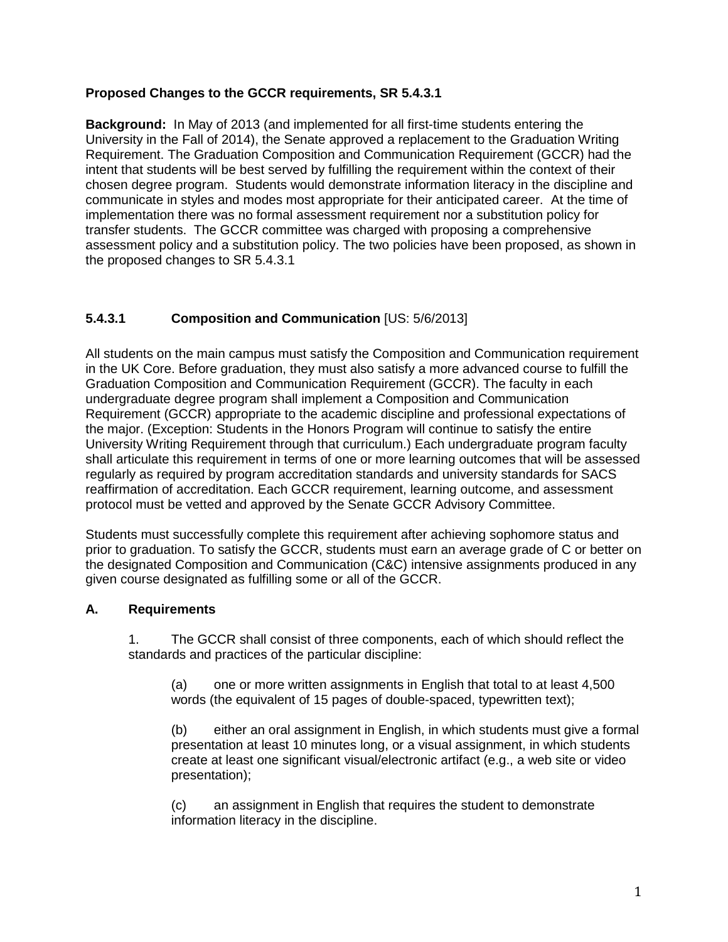### **Proposed Changes to the GCCR requirements, SR 5.4.3.1**

**Background:** In May of 2013 (and implemented for all first-time students entering the University in the Fall of 2014), the Senate approved a replacement to the Graduation Writing Requirement. The Graduation Composition and Communication Requirement (GCCR) had the intent that students will be best served by fulfilling the requirement within the context of their chosen degree program. Students would demonstrate information literacy in the discipline and communicate in styles and modes most appropriate for their anticipated career. At the time of implementation there was no formal assessment requirement nor a substitution policy for transfer students. The GCCR committee was charged with proposing a comprehensive assessment policy and a substitution policy. The two policies have been proposed, as shown in the proposed changes to SR 5.4.3.1

### **5.4.3.1 Composition and Communication** [US: 5/6/2013]

All students on the main campus must satisfy the Composition and Communication requirement in the UK Core. Before graduation, they must also satisfy a more advanced course to fulfill the Graduation Composition and Communication Requirement (GCCR). The faculty in each undergraduate degree program shall implement a Composition and Communication Requirement (GCCR) appropriate to the academic discipline and professional expectations of the major. (Exception: Students in the Honors Program will continue to satisfy the entire University Writing Requirement through that curriculum.) Each undergraduate program faculty shall articulate this requirement in terms of one or more learning outcomes that will be assessed regularly as required by program accreditation standards and university standards for SACS reaffirmation of accreditation. Each GCCR requirement, learning outcome, and assessment protocol must be vetted and approved by the Senate GCCR Advisory Committee.

Students must successfully complete this requirement after achieving sophomore status and prior to graduation. To satisfy the GCCR, students must earn an average grade of C or better on the designated Composition and Communication (C&C) intensive assignments produced in any given course designated as fulfilling some or all of the GCCR.

#### **A. Requirements**

1. The GCCR shall consist of three components, each of which should reflect the standards and practices of the particular discipline:

(a) one or more written assignments in English that total to at least 4,500 words (the equivalent of 15 pages of double-spaced, typewritten text);

(b) either an oral assignment in English, in which students must give a formal presentation at least 10 minutes long, or a visual assignment, in which students create at least one significant visual/electronic artifact (e.g., a web site or video presentation);

(c) an assignment in English that requires the student to demonstrate information literacy in the discipline.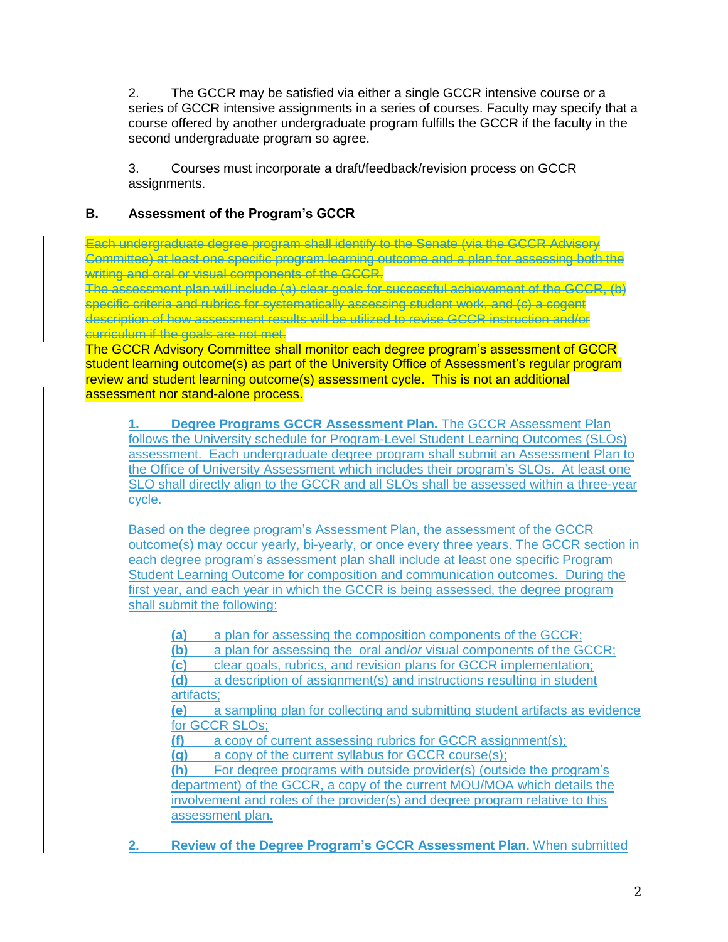2. The GCCR may be satisfied via either a single GCCR intensive course or a series of GCCR intensive assignments in a series of courses. Faculty may specify that a course offered by another undergraduate program fulfills the GCCR if the faculty in the second undergraduate program so agree.

3. Courses must incorporate a draft/feedback/revision process on GCCR assignments.

## **B. Assessment of the Program's GCCR**

Each undergraduate degree program shall identify to the Senate (via the GCCR Advisory Committee) at least one specific program learning outcome and a plan for assessing both the writing and oral or visual components of the GCCR.

The assessment plan will include (a) clear goals for successful achievement of the GCCR, (b) specific criteria and rubrics for systematically assessing student work, and (c) a cogent description of how assessment results will be utilized to revise GCCR instruction and/or curriculum if the goals are not met.

The GCCR Advisory Committee shall monitor each degree program's assessment of GCCR student learning outcome(s) as part of the University Office of Assessment's regular program review and student learning outcome(s) assessment cycle. This is not an additional assessment nor stand-alone process.

**1. Degree Programs GCCR Assessment Plan.** The GCCR Assessment Plan follows the University schedule for Program-Level Student Learning Outcomes (SLOs) assessment. Each undergraduate degree program shall submit an Assessment Plan to the Office of University Assessment which includes their program's SLOs. At least one SLO shall directly align to the GCCR and all SLOs shall be assessed within a three-year cycle.

Based on the degree program's Assessment Plan, the assessment of the GCCR outcome(s) may occur yearly, bi-yearly, or once every three years. The GCCR section in each degree program's assessment plan shall include at least one specific Program Student Learning Outcome for composition and communication outcomes. During the first year, and each year in which the GCCR is being assessed, the degree program shall submit the following:

**(a)** a plan for assessing the composition components of the GCCR;

**(b)** a plan for assessing the oral and/*or* visual components of the GCCR;

**(c)** clear goals, rubrics, and revision plans for GCCR implementation;

**(d)** a description of assignment(s) and instructions resulting in student artifacts;

**(e)** a sampling plan for collecting and submitting student artifacts as evidence for GCCR SLOs:

**(f)** a copy of current assessing rubrics for GCCR assignment(s);

**(g)** a copy of the current syllabus for GCCR course(s);

**(h)** For degree programs with outside provider(s) (outside the program's department) of the GCCR, a copy of the current MOU/MOA which details the involvement and roles of the provider(s) and degree program relative to this assessment plan.

**2. Review of the Degree Program's GCCR Assessment Plan.** When submitted